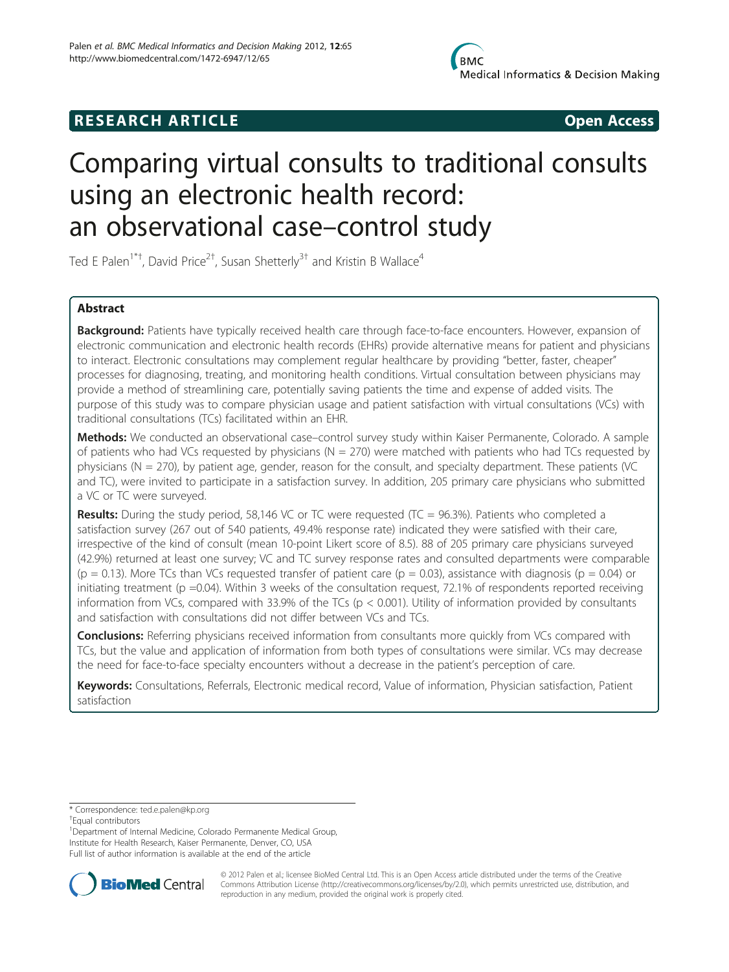# **RESEARCH ARTICLE CONSUMING A RESEARCH ARTICLE**

# Comparing virtual consults to traditional consults using an electronic health record: an observational case–control study

Ted E Palen<sup>1\*†</sup>, David Price<sup>2†</sup>, Susan Shetterly<sup>3†</sup> and Kristin B Wallace<sup>4</sup>

# Abstract

Background: Patients have typically received health care through face-to-face encounters. However, expansion of electronic communication and electronic health records (EHRs) provide alternative means for patient and physicians to interact. Electronic consultations may complement regular healthcare by providing "better, faster, cheaper" processes for diagnosing, treating, and monitoring health conditions. Virtual consultation between physicians may provide a method of streamlining care, potentially saving patients the time and expense of added visits. The purpose of this study was to compare physician usage and patient satisfaction with virtual consultations (VCs) with traditional consultations (TCs) facilitated within an EHR.

Methods: We conducted an observational case–control survey study within Kaiser Permanente, Colorado. A sample of patients who had VCs requested by physicians ( $N = 270$ ) were matched with patients who had TCs requested by physicians ( $N = 270$ ), by patient age, gender, reason for the consult, and specialty department. These patients (VC and TC), were invited to participate in a satisfaction survey. In addition, 205 primary care physicians who submitted a VC or TC were surveyed.

**Results:** During the study period, 58,146 VC or TC were requested (TC = 96.3%). Patients who completed a satisfaction survey (267 out of 540 patients, 49.4% response rate) indicated they were satisfied with their care, irrespective of the kind of consult (mean 10-point Likert score of 8.5). 88 of 205 primary care physicians surveyed (42.9%) returned at least one survey; VC and TC survey response rates and consulted departments were comparable  $(p = 0.13)$ . More TCs than VCs requested transfer of patient care  $(p = 0.03)$ , assistance with diagnosis  $(p = 0.04)$  or initiating treatment ( $p = 0.04$ ). Within 3 weeks of the consultation request, 72.1% of respondents reported receiving information from VCs, compared with 33.9% of the TCs (p < 0.001). Utility of information provided by consultants and satisfaction with consultations did not differ between VCs and TCs.

**Conclusions:** Referring physicians received information from consultants more quickly from VCs compared with TCs, but the value and application of information from both types of consultations were similar. VCs may decrease the need for face-to-face specialty encounters without a decrease in the patient's perception of care.

Keywords: Consultations, Referrals, Electronic medical record, Value of information, Physician satisfaction, Patient satisfaction

\* Correspondence: [ted.e.palen@kp.org](mailto:ted.e.palen@kp.org) †

Equal contributors

<sup>1</sup>Department of Internal Medicine, Colorado Permanente Medical Group, Institute for Health Research, Kaiser Permanente, Denver, CO, USA Full list of author information is available at the end of the article



© 2012 Palen et al.; licensee BioMed Central Ltd. This is an Open Access article distributed under the terms of the Creative Commons Attribution License [\(http://creativecommons.org/licenses/by/2.0\)](http://creativecommons.org/licenses/by/2.0), which permits unrestricted use, distribution, and reproduction in any medium, provided the original work is properly cited.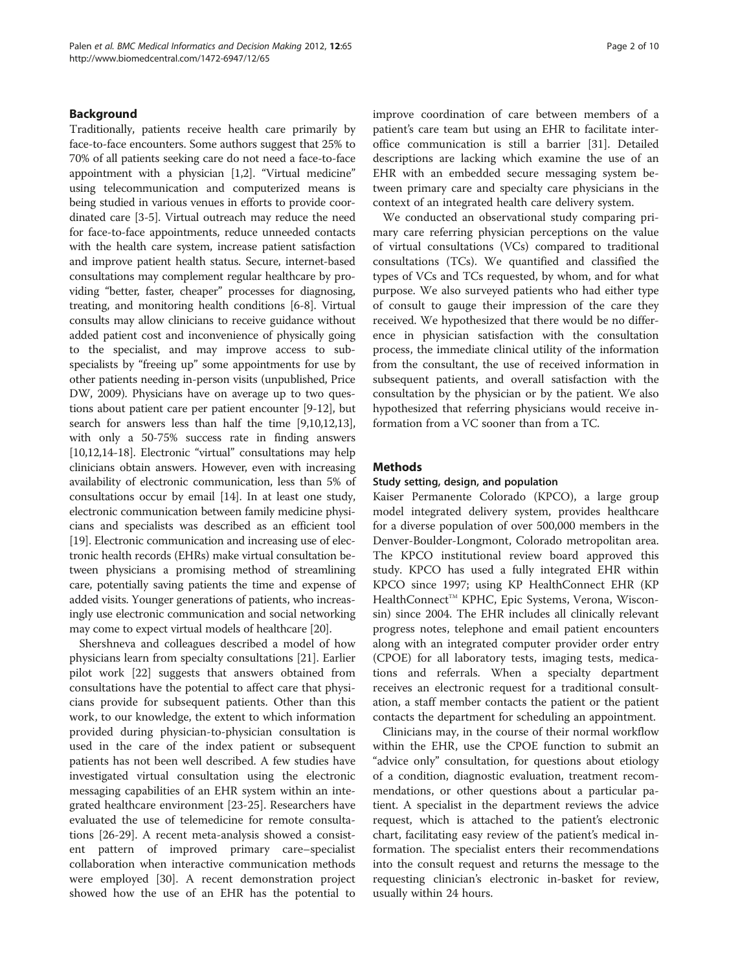# Background

Traditionally, patients receive health care primarily by face-to-face encounters. Some authors suggest that 25% to 70% of all patients seeking care do not need a face-to-face appointment with a physician [[1,2](#page-8-0)]. "Virtual medicine" using telecommunication and computerized means is being studied in various venues in efforts to provide coordinated care [\[3-5](#page-8-0)]. Virtual outreach may reduce the need for face-to-face appointments, reduce unneeded contacts with the health care system, increase patient satisfaction and improve patient health status. Secure, internet-based consultations may complement regular healthcare by providing "better, faster, cheaper" processes for diagnosing, treating, and monitoring health conditions [\[6-8](#page-8-0)]. Virtual consults may allow clinicians to receive guidance without added patient cost and inconvenience of physically going to the specialist, and may improve access to subspecialists by "freeing up" some appointments for use by other patients needing in-person visits (unpublished, Price DW, 2009). Physicians have on average up to two questions about patient care per patient encounter [[9-12\]](#page-8-0), but search for answers less than half the time [[9,10,12,13](#page-8-0)], with only a 50-75% success rate in finding answers [[10,12,14-18\]](#page-8-0). Electronic "virtual" consultations may help clinicians obtain answers. However, even with increasing availability of electronic communication, less than 5% of consultations occur by email [[14](#page-8-0)]. In at least one study, electronic communication between family medicine physicians and specialists was described as an efficient tool [[19](#page-8-0)]. Electronic communication and increasing use of electronic health records (EHRs) make virtual consultation between physicians a promising method of streamlining care, potentially saving patients the time and expense of added visits. Younger generations of patients, who increasingly use electronic communication and social networking may come to expect virtual models of healthcare [\[20](#page-8-0)].

Shershneva and colleagues described a model of how physicians learn from specialty consultations [[21](#page-8-0)]. Earlier pilot work [[22\]](#page-8-0) suggests that answers obtained from consultations have the potential to affect care that physicians provide for subsequent patients. Other than this work, to our knowledge, the extent to which information provided during physician-to-physician consultation is used in the care of the index patient or subsequent patients has not been well described. A few studies have investigated virtual consultation using the electronic messaging capabilities of an EHR system within an integrated healthcare environment [[23-25](#page-8-0)]. Researchers have evaluated the use of telemedicine for remote consultations [[26-29](#page-8-0)]. A recent meta-analysis showed a consistent pattern of improved primary care–specialist collaboration when interactive communication methods were employed [[30](#page-8-0)]. A recent demonstration project showed how the use of an EHR has the potential to improve coordination of care between members of a patient's care team but using an EHR to facilitate interoffice communication is still a barrier [[31](#page-8-0)]. Detailed descriptions are lacking which examine the use of an EHR with an embedded secure messaging system between primary care and specialty care physicians in the context of an integrated health care delivery system.

We conducted an observational study comparing primary care referring physician perceptions on the value of virtual consultations (VCs) compared to traditional consultations (TCs). We quantified and classified the types of VCs and TCs requested, by whom, and for what purpose. We also surveyed patients who had either type of consult to gauge their impression of the care they received. We hypothesized that there would be no difference in physician satisfaction with the consultation process, the immediate clinical utility of the information from the consultant, the use of received information in subsequent patients, and overall satisfaction with the consultation by the physician or by the patient. We also hypothesized that referring physicians would receive information from a VC sooner than from a TC.

# **Methods**

### Study setting, design, and population

Kaiser Permanente Colorado (KPCO), a large group model integrated delivery system, provides healthcare for a diverse population of over 500,000 members in the Denver-Boulder-Longmont, Colorado metropolitan area. The KPCO institutional review board approved this study. KPCO has used a fully integrated EHR within KPCO since 1997; using KP HealthConnect EHR (KP HealthConnect™ KPHC, Epic Systems, Verona, Wisconsin) since 2004. The EHR includes all clinically relevant progress notes, telephone and email patient encounters along with an integrated computer provider order entry (CPOE) for all laboratory tests, imaging tests, medications and referrals. When a specialty department receives an electronic request for a traditional consultation, a staff member contacts the patient or the patient contacts the department for scheduling an appointment.

Clinicians may, in the course of their normal workflow within the EHR, use the CPOE function to submit an "advice only" consultation, for questions about etiology of a condition, diagnostic evaluation, treatment recommendations, or other questions about a particular patient. A specialist in the department reviews the advice request, which is attached to the patient's electronic chart, facilitating easy review of the patient's medical information. The specialist enters their recommendations into the consult request and returns the message to the requesting clinician's electronic in-basket for review, usually within 24 hours.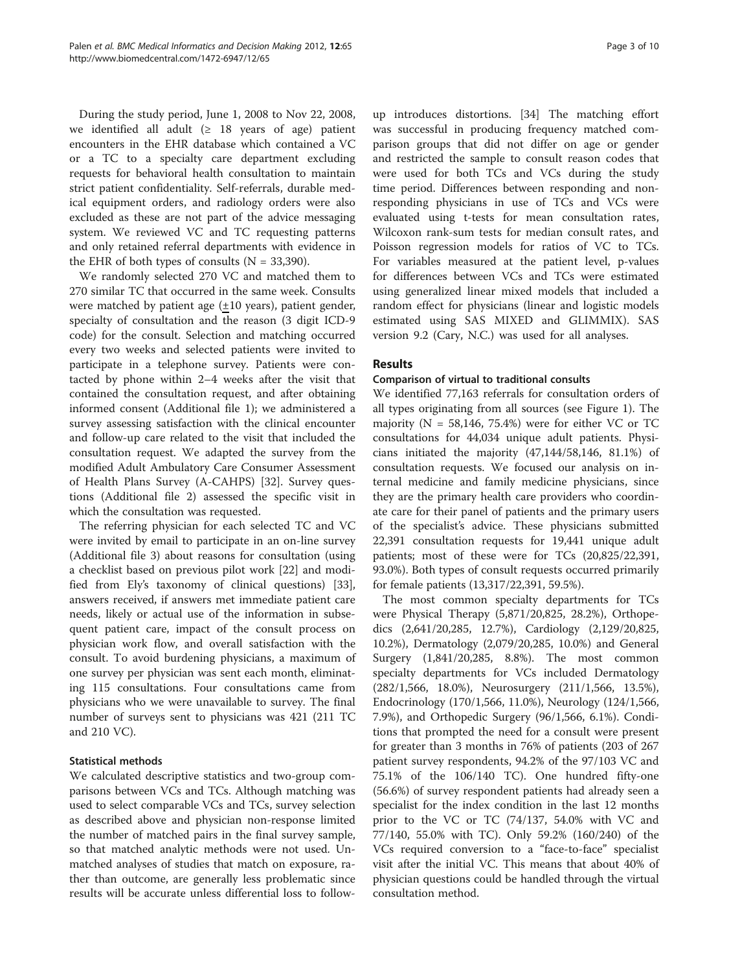During the study period, June 1, 2008 to Nov 22, 2008, we identified all adult  $(≥ 18$  years of age) patient encounters in the EHR database which contained a VC or a TC to a specialty care department excluding requests for behavioral health consultation to maintain strict patient confidentiality. Self-referrals, durable medical equipment orders, and radiology orders were also excluded as these are not part of the advice messaging system. We reviewed VC and TC requesting patterns and only retained referral departments with evidence in the EHR of both types of consults  $(N = 33,390)$ .

We randomly selected 270 VC and matched them to 270 similar TC that occurred in the same week. Consults were matched by patient age (±10 years), patient gender, specialty of consultation and the reason (3 digit ICD-9 code) for the consult. Selection and matching occurred every two weeks and selected patients were invited to participate in a telephone survey. Patients were contacted by phone within 2–4 weeks after the visit that contained the consultation request, and after obtaining informed consent (Additional file [1\)](#page-7-0); we administered a survey assessing satisfaction with the clinical encounter and follow-up care related to the visit that included the consultation request. We adapted the survey from the modified Adult Ambulatory Care Consumer Assessment of Health Plans Survey (A-CAHPS) [\[32](#page-8-0)]. Survey questions (Additional file [2](#page-7-0)) assessed the specific visit in which the consultation was requested.

The referring physician for each selected TC and VC were invited by email to participate in an on-line survey (Additional file [3\)](#page-7-0) about reasons for consultation (using a checklist based on previous pilot work [\[22\]](#page-8-0) and modified from Ely's taxonomy of clinical questions) [\[33](#page-9-0)], answers received, if answers met immediate patient care needs, likely or actual use of the information in subsequent patient care, impact of the consult process on physician work flow, and overall satisfaction with the consult. To avoid burdening physicians, a maximum of one survey per physician was sent each month, eliminating 115 consultations. Four consultations came from physicians who we were unavailable to survey. The final number of surveys sent to physicians was 421 (211 TC and 210 VC).

# Statistical methods

We calculated descriptive statistics and two-group comparisons between VCs and TCs. Although matching was used to select comparable VCs and TCs, survey selection as described above and physician non-response limited the number of matched pairs in the final survey sample, so that matched analytic methods were not used. Unmatched analyses of studies that match on exposure, rather than outcome, are generally less problematic since results will be accurate unless differential loss to follow-

up introduces distortions. [\[34\]](#page-9-0) The matching effort was successful in producing frequency matched comparison groups that did not differ on age or gender and restricted the sample to consult reason codes that were used for both TCs and VCs during the study time period. Differences between responding and nonresponding physicians in use of TCs and VCs were evaluated using t-tests for mean consultation rates, Wilcoxon rank-sum tests for median consult rates, and Poisson regression models for ratios of VC to TCs. For variables measured at the patient level, p-values for differences between VCs and TCs were estimated using generalized linear mixed models that included a random effect for physicians (linear and logistic models estimated using SAS MIXED and GLIMMIX). SAS version 9.2 (Cary, N.C.) was used for all analyses.

# Results

# Comparison of virtual to traditional consults

We identified 77,163 referrals for consultation orders of all types originating from all sources (see Figure [1\)](#page-3-0). The majority ( $N = 58,146, 75.4%$ ) were for either VC or TC consultations for 44,034 unique adult patients. Physicians initiated the majority (47,144/58,146, 81.1%) of consultation requests. We focused our analysis on internal medicine and family medicine physicians, since they are the primary health care providers who coordinate care for their panel of patients and the primary users of the specialist's advice. These physicians submitted 22,391 consultation requests for 19,441 unique adult patients; most of these were for TCs (20,825/22,391, 93.0%). Both types of consult requests occurred primarily for female patients (13,317/22,391, 59.5%).

The most common specialty departments for TCs were Physical Therapy (5,871/20,825, 28.2%), Orthopedics (2,641/20,285, 12.7%), Cardiology (2,129/20,825, 10.2%), Dermatology (2,079/20,285, 10.0%) and General Surgery (1,841/20,285, 8.8%). The most common specialty departments for VCs included Dermatology (282/1,566, 18.0%), Neurosurgery (211/1,566, 13.5%), Endocrinology (170/1,566, 11.0%), Neurology (124/1,566, 7.9%), and Orthopedic Surgery (96/1,566, 6.1%). Conditions that prompted the need for a consult were present for greater than 3 months in 76% of patients (203 of 267 patient survey respondents, 94.2% of the 97/103 VC and 75.1% of the 106/140 TC). One hundred fifty-one (56.6%) of survey respondent patients had already seen a specialist for the index condition in the last 12 months prior to the VC or TC (74/137, 54.0% with VC and 77/140, 55.0% with TC). Only 59.2% (160/240) of the VCs required conversion to a "face-to-face" specialist visit after the initial VC. This means that about 40% of physician questions could be handled through the virtual consultation method.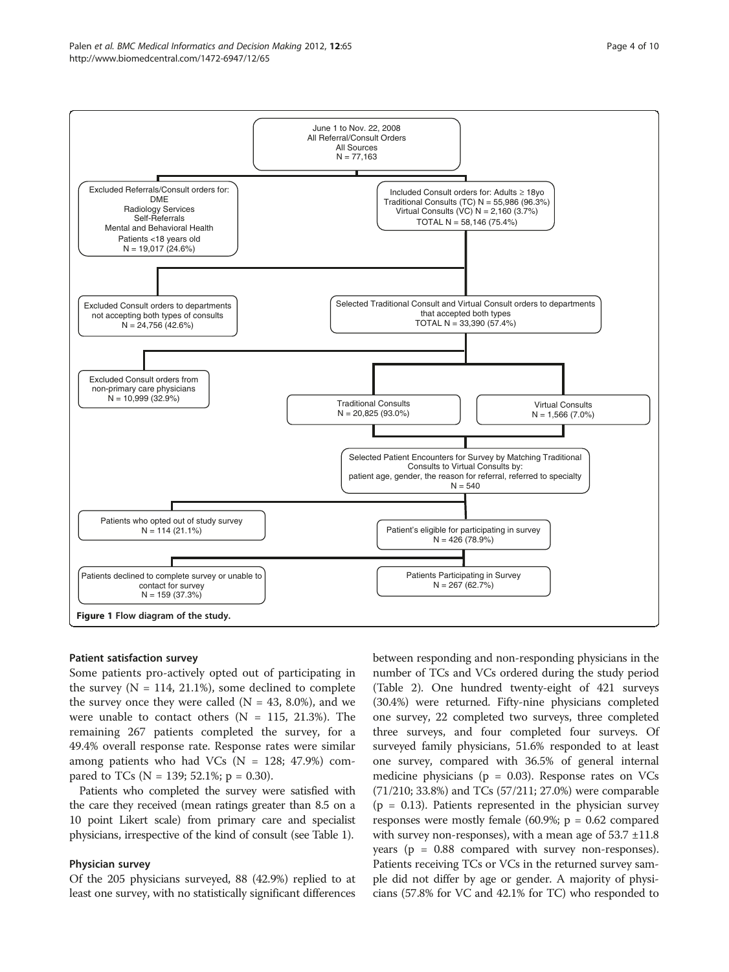<span id="page-3-0"></span>

#### Patient satisfaction survey

Some patients pro-actively opted out of participating in the survey ( $N = 114, 21.1\%$ ), some declined to complete the survey once they were called  $(N = 43, 8.0\%)$ , and we were unable to contact others ( $N = 115, 21.3\%$ ). The remaining 267 patients completed the survey, for a 49.4% overall response rate. Response rates were similar among patients who had VCs ( $N = 128$ ; 47.9%) compared to TCs ( $N = 139$ ; 52.1%;  $p = 0.30$ ).

Patients who completed the survey were satisfied with the care they received (mean ratings greater than 8.5 on a 10 point Likert scale) from primary care and specialist physicians, irrespective of the kind of consult (see Table [1\)](#page-4-0).

# Physician survey

Of the 205 physicians surveyed, 88 (42.9%) replied to at least one survey, with no statistically significant differences between responding and non-responding physicians in the number of TCs and VCs ordered during the study period (Table [2](#page-4-0)). One hundred twenty-eight of 421 surveys (30.4%) were returned. Fifty-nine physicians completed one survey, 22 completed two surveys, three completed three surveys, and four completed four surveys. Of surveyed family physicians, 51.6% responded to at least one survey, compared with 36.5% of general internal medicine physicians ( $p = 0.03$ ). Response rates on VCs (71/210; 33.8%) and TCs (57/211; 27.0%) were comparable  $(p = 0.13)$ . Patients represented in the physician survey responses were mostly female (60.9%;  $p = 0.62$  compared with survey non-responses), with a mean age of  $53.7 \pm 11.8$ years (p = 0.88 compared with survey non-responses). Patients receiving TCs or VCs in the returned survey sample did not differ by age or gender. A majority of physicians (57.8% for VC and 42.1% for TC) who responded to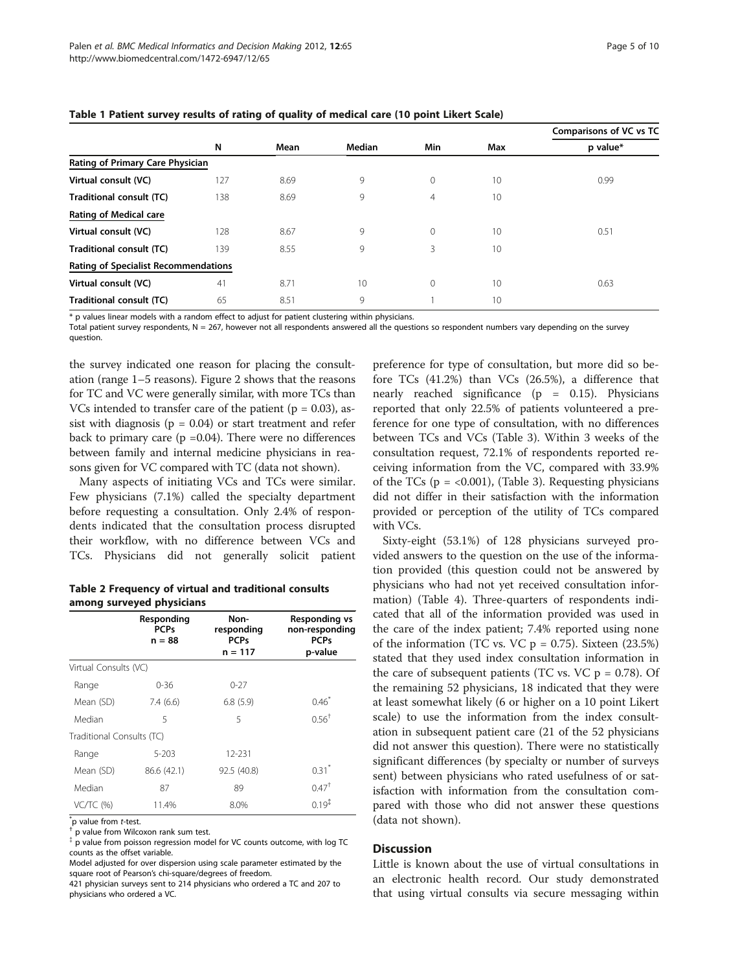|                                             |     |      |        |     |     | <b>Comparisons of VC vs TC</b> |  |
|---------------------------------------------|-----|------|--------|-----|-----|--------------------------------|--|
|                                             | N   | Mean | Median | Min | Max | p value*                       |  |
| Rating of Primary Care Physician            |     |      |        |     |     |                                |  |
| Virtual consult (VC)                        | 127 | 8.69 | 9      | 0   | 10  | 0.99                           |  |
| Traditional consult (TC)                    | 138 | 8.69 | 9      | 4   | 10  |                                |  |
| Rating of Medical care                      |     |      |        |     |     |                                |  |
| Virtual consult (VC)                        | 128 | 8.67 | 9      | 0   | 10  | 0.51                           |  |
| Traditional consult (TC)                    | 139 | 8.55 | 9      | 3   | 10  |                                |  |
| <b>Rating of Specialist Recommendations</b> |     |      |        |     |     |                                |  |
| Virtual consult (VC)                        | 41  | 8.71 | 10     | 0   | 10  | 0.63                           |  |
| Traditional consult (TC)                    | 65  | 8.51 | 9      |     | 10  |                                |  |

<span id="page-4-0"></span>Table 1 Patient survey results of rating of quality of medical care (10 point Likert Scale)

\* p values linear models with a random effect to adjust for patient clustering within physicians.

Total patient survey respondents, N = 267, however not all respondents answered all the questions so respondent numbers vary depending on the survey question.

the survey indicated one reason for placing the consultation (range 1–5 reasons). Figure [2](#page-5-0) shows that the reasons for TC and VC were generally similar, with more TCs than VCs intended to transfer care of the patient ( $p = 0.03$ ), assist with diagnosis ( $p = 0.04$ ) or start treatment and refer back to primary care ( $p = 0.04$ ). There were no differences between family and internal medicine physicians in reasons given for VC compared with TC (data not shown).

Many aspects of initiating VCs and TCs were similar. Few physicians (7.1%) called the specialty department before requesting a consultation. Only 2.4% of respondents indicated that the consultation process disrupted their workflow, with no difference between VCs and TCs. Physicians did not generally solicit patient

Table 2 Frequency of virtual and traditional consults among surveyed physicians

|                           | Responding<br><b>PCPs</b><br>n = 88 | Non-<br>responding<br><b>PCPs</b><br>$n = 117$ | <b>Responding vs</b><br>non-responding<br><b>PCPs</b><br>p-value |
|---------------------------|-------------------------------------|------------------------------------------------|------------------------------------------------------------------|
| Virtual Consults (VC)     |                                     |                                                |                                                                  |
| Range                     | $0 - 36$                            | $0 - 27$                                       |                                                                  |
| Mean (SD)                 | 7.4(6.6)                            | 6.8(5.9)                                       | $0.46^{*}$                                                       |
| Median                    | 5                                   | 5                                              | $0.56$ <sup>+</sup>                                              |
| Traditional Consults (TC) |                                     |                                                |                                                                  |
| Range                     | 5-203                               | 12-231                                         |                                                                  |
| Mean (SD)                 | 86.6 (42.1)                         | 92.5 (40.8)                                    | $0.31$ <sup>*</sup>                                              |
| Median                    | 87                                  | 89                                             | $0.47^+$                                                         |
| VCTC (%)                  | 11.4%                               | 8.0%                                           | $0.19^{1}$                                                       |

\*p value from t-test.

p value from Wilcoxon rank sum test.

 $\frac{1}{2}$  p value from poisson regression model for VC counts outcome, with log TC counts as the offset variable.

preference for type of consultation, but more did so before TCs (41.2%) than VCs (26.5%), a difference that nearly reached significance  $(p = 0.15)$ . Physicians reported that only 22.5% of patients volunteered a preference for one type of consultation, with no differences between TCs and VCs (Table [3\)](#page-5-0). Within 3 weeks of the consultation request, 72.1% of respondents reported receiving information from the VC, compared with 33.9% of the TCs ( $p = <0.001$ ), (Table [3](#page-5-0)). Requesting physicians did not differ in their satisfaction with the information provided or perception of the utility of TCs compared with VCs.

Sixty-eight (53.1%) of 128 physicians surveyed provided answers to the question on the use of the information provided (this question could not be answered by physicians who had not yet received consultation information) (Table [4](#page-6-0)). Three-quarters of respondents indicated that all of the information provided was used in the care of the index patient; 7.4% reported using none of the information (TC vs. VC  $p = 0.75$ ). Sixteen (23.5%) stated that they used index consultation information in the care of subsequent patients (TC vs. VC  $p = 0.78$ ). Of the remaining 52 physicians, 18 indicated that they were at least somewhat likely (6 or higher on a 10 point Likert scale) to use the information from the index consultation in subsequent patient care (21 of the 52 physicians did not answer this question). There were no statistically significant differences (by specialty or number of surveys sent) between physicians who rated usefulness of or satisfaction with information from the consultation compared with those who did not answer these questions (data not shown).

# **Discussion**

Little is known about the use of virtual consultations in an electronic health record. Our study demonstrated that using virtual consults via secure messaging within

Model adjusted for over dispersion using scale parameter estimated by the square root of Pearson's chi-square/degrees of freedom.

<sup>421</sup> physician surveys sent to 214 physicians who ordered a TC and 207 to physicians who ordered a VC.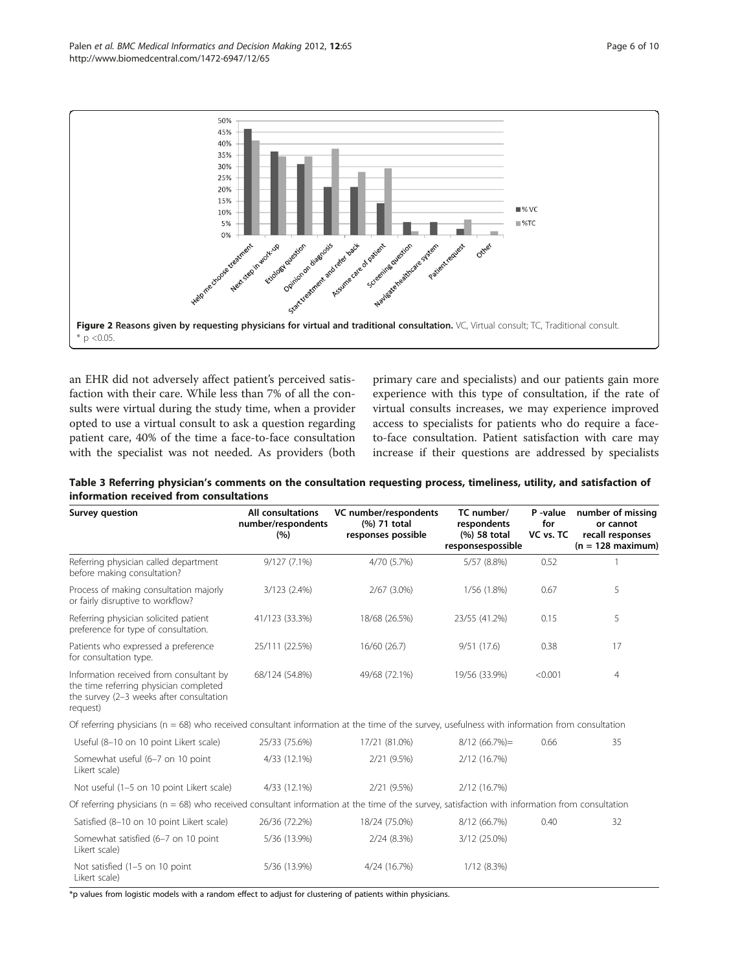<span id="page-5-0"></span>

an EHR did not adversely affect patient's perceived satisfaction with their care. While less than 7% of all the consults were virtual during the study time, when a provider opted to use a virtual consult to ask a question regarding patient care, 40% of the time a face-to-face consultation with the specialist was not needed. As providers (both

primary care and specialists) and our patients gain more experience with this type of consultation, if the rate of virtual consults increases, we may experience improved access to specialists for patients who do require a faceto-face consultation. Patient satisfaction with care may increase if their questions are addressed by specialists

Table 3 Referring physician's comments on the consultation requesting process, timeliness, utility, and satisfaction of information received from consultations

| <b>Survey question</b>                                                                                                                              | <b>All consultations</b><br>number/respondents<br>(% ) | VC number/respondents<br>(%) 71 total<br>responses possible | TC number/<br>respondents<br>(%) 58 total<br>responsespossible | P -value<br>for<br>VC vs. TC | number of missing<br>or cannot<br>recall responses<br>$(n = 128$ maximum) |
|-----------------------------------------------------------------------------------------------------------------------------------------------------|--------------------------------------------------------|-------------------------------------------------------------|----------------------------------------------------------------|------------------------------|---------------------------------------------------------------------------|
| Referring physician called department<br>before making consultation?                                                                                | 9/127 (7.1%)                                           | 4/70 (5.7%)                                                 | 5/57 (8.8%)                                                    | 0.52                         |                                                                           |
| Process of making consultation majorly<br>or fairly disruptive to workflow?                                                                         | 3/123 (2.4%)                                           | 2/67 (3.0%)                                                 | 1/56 (1.8%)                                                    | 0.67                         | 5                                                                         |
| Referring physician solicited patient<br>preference for type of consultation.                                                                       | 41/123 (33.3%)                                         | 18/68 (26.5%)                                               | 23/55 (41.2%)                                                  | 0.15                         | 5                                                                         |
| Patients who expressed a preference<br>for consultation type.                                                                                       | 25/111 (22.5%)                                         | 16/60 (26.7)                                                | 9/51(17.6)                                                     | 0.38                         | 17                                                                        |
| Information received from consultant by<br>the time referring physician completed<br>the survey (2-3 weeks after consultation<br>request)           | 68/124 (54.8%)                                         | 49/68 (72.1%)                                               | 19/56 (33.9%)                                                  | < 0.001                      | 4                                                                         |
| Of referring physicians ( $n = 68$ ) who received consultant information at the time of the survey, usefulness with information from consultation   |                                                        |                                                             |                                                                |                              |                                                                           |
| Useful (8-10 on 10 point Likert scale)                                                                                                              | 25/33 (75.6%)                                          | 17/21 (81.0%)                                               | $8/12(66.7%)=$                                                 | 0.66                         | 35                                                                        |
| Somewhat useful (6-7 on 10 point<br>Likert scale)                                                                                                   | 4/33 (12.1%)                                           | 2/21 (9.5%)                                                 | 2/12 (16.7%)                                                   |                              |                                                                           |
| Not useful (1-5 on 10 point Likert scale)                                                                                                           | 4/33 (12.1%)                                           | 2/21 (9.5%)                                                 | 2/12 (16.7%)                                                   |                              |                                                                           |
| Of referring physicians ( $n = 68$ ) who received consultant information at the time of the survey, satisfaction with information from consultation |                                                        |                                                             |                                                                |                              |                                                                           |
| Satisfied (8-10 on 10 point Likert scale)                                                                                                           | 26/36 (72.2%)                                          | 18/24 (75.0%)                                               | 8/12 (66.7%)                                                   | 0.40                         | 32                                                                        |
| Somewhat satisfied (6-7 on 10 point<br>Likert scale)                                                                                                | 5/36 (13.9%)                                           | 2/24(8.3%)                                                  | 3/12 (25.0%)                                                   |                              |                                                                           |
| Not satisfied (1-5 on 10 point<br>Likert scale)                                                                                                     | 5/36 (13.9%)                                           | 4/24 (16.7%)                                                | 1/12(8.3%)                                                     |                              |                                                                           |

\*p values from logistic models with a random effect to adjust for clustering of patients within physicians.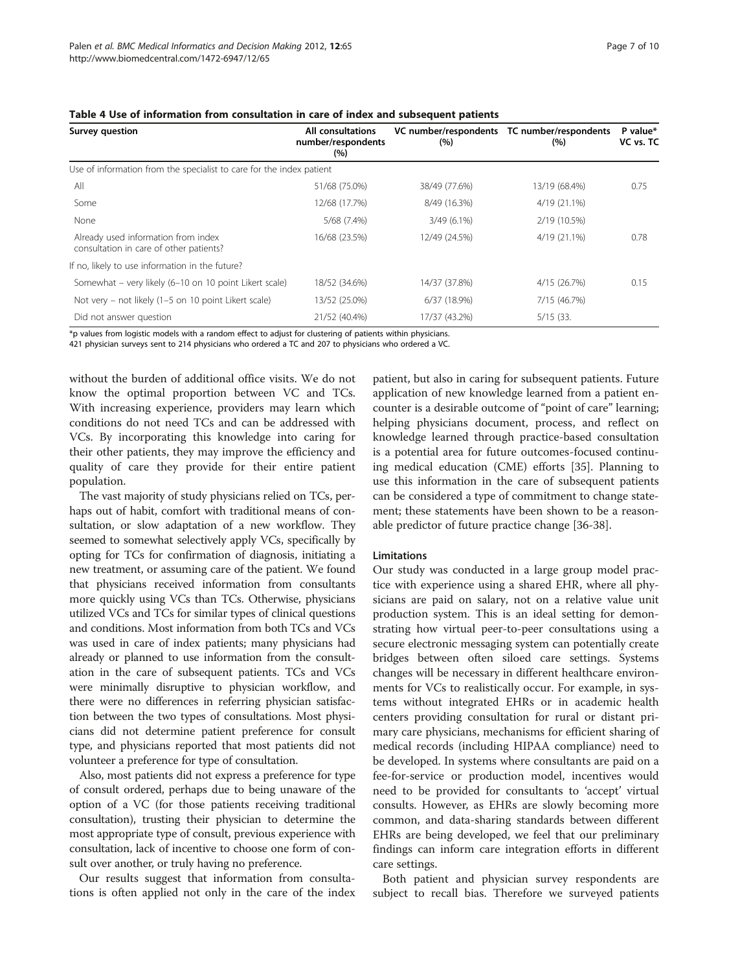| <b>Survey question</b>                                                         | <b>All consultations</b><br>number/respondents<br>(% ) | (%)           | VC number/respondents TC number/respondents<br>(%) | P value*<br>VC vs. TC |
|--------------------------------------------------------------------------------|--------------------------------------------------------|---------------|----------------------------------------------------|-----------------------|
| Use of information from the specialist to care for the index patient           |                                                        |               |                                                    |                       |
| All                                                                            | 51/68 (75.0%)                                          | 38/49 (77.6%) | 13/19 (68.4%)                                      | 0.75                  |
| Some                                                                           | 12/68 (17.7%)                                          | 8/49 (16.3%)  | 4/19 (21.1%)                                       |                       |
| None                                                                           | 5/68 (7.4%)                                            | 3/49 (6.1%)   | 2/19 (10.5%)                                       |                       |
| Already used information from index<br>consultation in care of other patients? | 16/68 (23.5%)                                          | 12/49 (24.5%) | 4/19 (21.1%)                                       | 0.78                  |
| If no, likely to use information in the future?                                |                                                        |               |                                                    |                       |
| Somewhat - very likely (6-10 on 10 point Likert scale)                         | 18/52 (34.6%)                                          | 14/37 (37.8%) | 4/15 (26.7%)                                       | 0.15                  |
| Not very – not likely (1–5 on 10 point Likert scale)                           | 13/52 (25.0%)                                          | 6/37 (18.9%)  | 7/15 (46.7%)                                       |                       |
| Did not answer question                                                        | 21/52 (40.4%)                                          | 17/37 (43.2%) | $5/15$ (33.                                        |                       |

<span id="page-6-0"></span>

\*p values from logistic models with a random effect to adjust for clustering of patients within physicians.

421 physician surveys sent to 214 physicians who ordered a TC and 207 to physicians who ordered a VC.

without the burden of additional office visits. We do not know the optimal proportion between VC and TCs. With increasing experience, providers may learn which conditions do not need TCs and can be addressed with VCs. By incorporating this knowledge into caring for their other patients, they may improve the efficiency and quality of care they provide for their entire patient population.

The vast majority of study physicians relied on TCs, perhaps out of habit, comfort with traditional means of consultation, or slow adaptation of a new workflow. They seemed to somewhat selectively apply VCs, specifically by opting for TCs for confirmation of diagnosis, initiating a new treatment, or assuming care of the patient. We found that physicians received information from consultants more quickly using VCs than TCs. Otherwise, physicians utilized VCs and TCs for similar types of clinical questions and conditions. Most information from both TCs and VCs was used in care of index patients; many physicians had already or planned to use information from the consultation in the care of subsequent patients. TCs and VCs were minimally disruptive to physician workflow, and there were no differences in referring physician satisfaction between the two types of consultations. Most physicians did not determine patient preference for consult type, and physicians reported that most patients did not volunteer a preference for type of consultation.

Also, most patients did not express a preference for type of consult ordered, perhaps due to being unaware of the option of a VC (for those patients receiving traditional consultation), trusting their physician to determine the most appropriate type of consult, previous experience with consultation, lack of incentive to choose one form of consult over another, or truly having no preference.

Our results suggest that information from consultations is often applied not only in the care of the index

patient, but also in caring for subsequent patients. Future application of new knowledge learned from a patient encounter is a desirable outcome of "point of care" learning; helping physicians document, process, and reflect on knowledge learned through practice-based consultation is a potential area for future outcomes-focused continuing medical education (CME) efforts [[35](#page-9-0)]. Planning to use this information in the care of subsequent patients can be considered a type of commitment to change statement; these statements have been shown to be a reasonable predictor of future practice change [\[36](#page-9-0)-[38\]](#page-9-0).

#### Limitations

Our study was conducted in a large group model practice with experience using a shared EHR, where all physicians are paid on salary, not on a relative value unit production system. This is an ideal setting for demonstrating how virtual peer-to-peer consultations using a secure electronic messaging system can potentially create bridges between often siloed care settings. Systems changes will be necessary in different healthcare environments for VCs to realistically occur. For example, in systems without integrated EHRs or in academic health centers providing consultation for rural or distant primary care physicians, mechanisms for efficient sharing of medical records (including HIPAA compliance) need to be developed. In systems where consultants are paid on a fee-for-service or production model, incentives would need to be provided for consultants to 'accept' virtual consults. However, as EHRs are slowly becoming more common, and data-sharing standards between different EHRs are being developed, we feel that our preliminary findings can inform care integration efforts in different care settings.

Both patient and physician survey respondents are subject to recall bias. Therefore we surveyed patients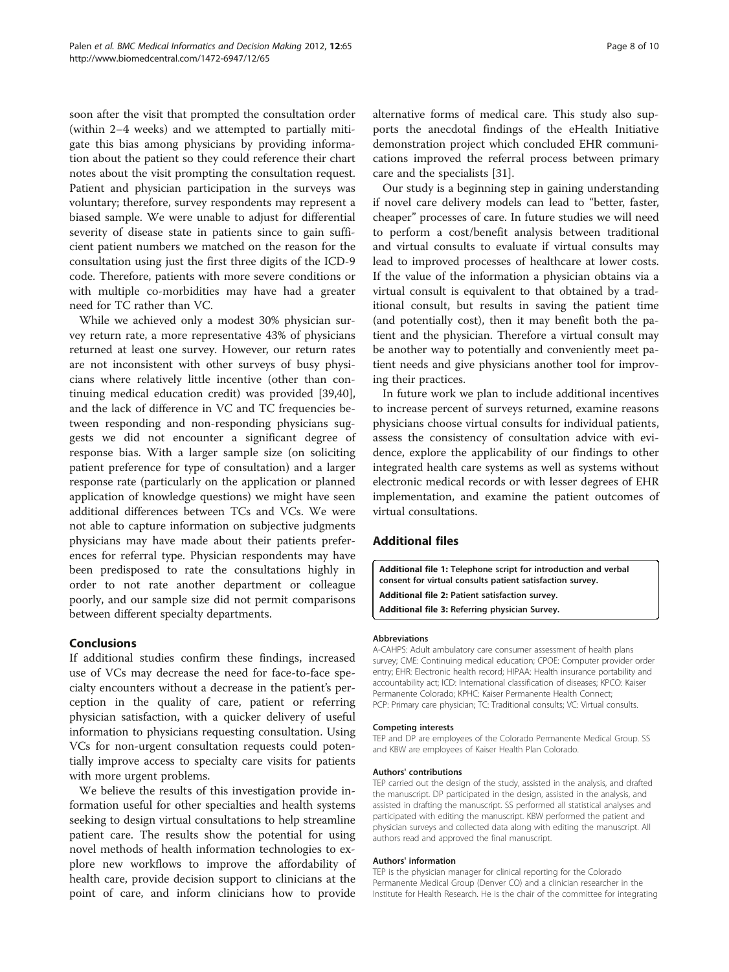<span id="page-7-0"></span>soon after the visit that prompted the consultation order (within 2–4 weeks) and we attempted to partially mitigate this bias among physicians by providing information about the patient so they could reference their chart notes about the visit prompting the consultation request. Patient and physician participation in the surveys was voluntary; therefore, survey respondents may represent a biased sample. We were unable to adjust for differential severity of disease state in patients since to gain sufficient patient numbers we matched on the reason for the consultation using just the first three digits of the ICD-9 code. Therefore, patients with more severe conditions or with multiple co-morbidities may have had a greater need for TC rather than VC.

While we achieved only a modest 30% physician survey return rate, a more representative 43% of physicians returned at least one survey. However, our return rates are not inconsistent with other surveys of busy physicians where relatively little incentive (other than continuing medical education credit) was provided [\[39,40](#page-9-0)], and the lack of difference in VC and TC frequencies between responding and non-responding physicians suggests we did not encounter a significant degree of response bias. With a larger sample size (on soliciting patient preference for type of consultation) and a larger response rate (particularly on the application or planned application of knowledge questions) we might have seen additional differences between TCs and VCs. We were not able to capture information on subjective judgments physicians may have made about their patients preferences for referral type. Physician respondents may have been predisposed to rate the consultations highly in order to not rate another department or colleague poorly, and our sample size did not permit comparisons between different specialty departments.

# Conclusions

If additional studies confirm these findings, increased use of VCs may decrease the need for face-to-face specialty encounters without a decrease in the patient's perception in the quality of care, patient or referring physician satisfaction, with a quicker delivery of useful information to physicians requesting consultation. Using VCs for non-urgent consultation requests could potentially improve access to specialty care visits for patients with more urgent problems.

We believe the results of this investigation provide information useful for other specialties and health systems seeking to design virtual consultations to help streamline patient care. The results show the potential for using novel methods of health information technologies to explore new workflows to improve the affordability of health care, provide decision support to clinicians at the point of care, and inform clinicians how to provide

alternative forms of medical care. This study also supports the anecdotal findings of the eHealth Initiative demonstration project which concluded EHR communications improved the referral process between primary care and the specialists [\[31](#page-8-0)].

Our study is a beginning step in gaining understanding if novel care delivery models can lead to "better, faster, cheaper" processes of care. In future studies we will need to perform a cost/benefit analysis between traditional and virtual consults to evaluate if virtual consults may lead to improved processes of healthcare at lower costs. If the value of the information a physician obtains via a virtual consult is equivalent to that obtained by a traditional consult, but results in saving the patient time (and potentially cost), then it may benefit both the patient and the physician. Therefore a virtual consult may be another way to potentially and conveniently meet patient needs and give physicians another tool for improving their practices.

In future work we plan to include additional incentives to increase percent of surveys returned, examine reasons physicians choose virtual consults for individual patients, assess the consistency of consultation advice with evidence, explore the applicability of our findings to other integrated health care systems as well as systems without electronic medical records or with lesser degrees of EHR implementation, and examine the patient outcomes of virtual consultations.

# Additional files

[Additional file 1:](http://www.biomedcentral.com/content/supplementary/1472-6947-12-65-S1.doc) Telephone script for introduction and verbal consent for virtual consults patient satisfaction survey. [Additional file 2:](http://www.biomedcentral.com/content/supplementary/1472-6947-12-65-S2.doc) Patient satisfaction survey. [Additional file 3:](http://www.biomedcentral.com/content/supplementary/1472-6947-12-65-S3.doc) Referring physician Survey.

#### Abbreviations

A-CAHPS: Adult ambulatory care consumer assessment of health plans survey; CME: Continuing medical education; CPOE: Computer provider order entry; EHR: Electronic health record; HIPAA: Health insurance portability and accountability act; ICD: International classification of diseases; KPCO: Kaiser Permanente Colorado; KPHC: Kaiser Permanente Health Connect; PCP: Primary care physician; TC: Traditional consults; VC: Virtual consults.

#### Competing interests

TEP and DP are employees of the Colorado Permanente Medical Group. SS and KBW are employees of Kaiser Health Plan Colorado.

#### Authors' contributions

TEP carried out the design of the study, assisted in the analysis, and drafted the manuscript. DP participated in the design, assisted in the analysis, and assisted in drafting the manuscript. SS performed all statistical analyses and participated with editing the manuscript. KBW performed the patient and physician surveys and collected data along with editing the manuscript. All authors read and approved the final manuscript.

#### Authors' information

TEP is the physician manager for clinical reporting for the Colorado Permanente Medical Group (Denver CO) and a clinician researcher in the Institute for Health Research. He is the chair of the committee for integrating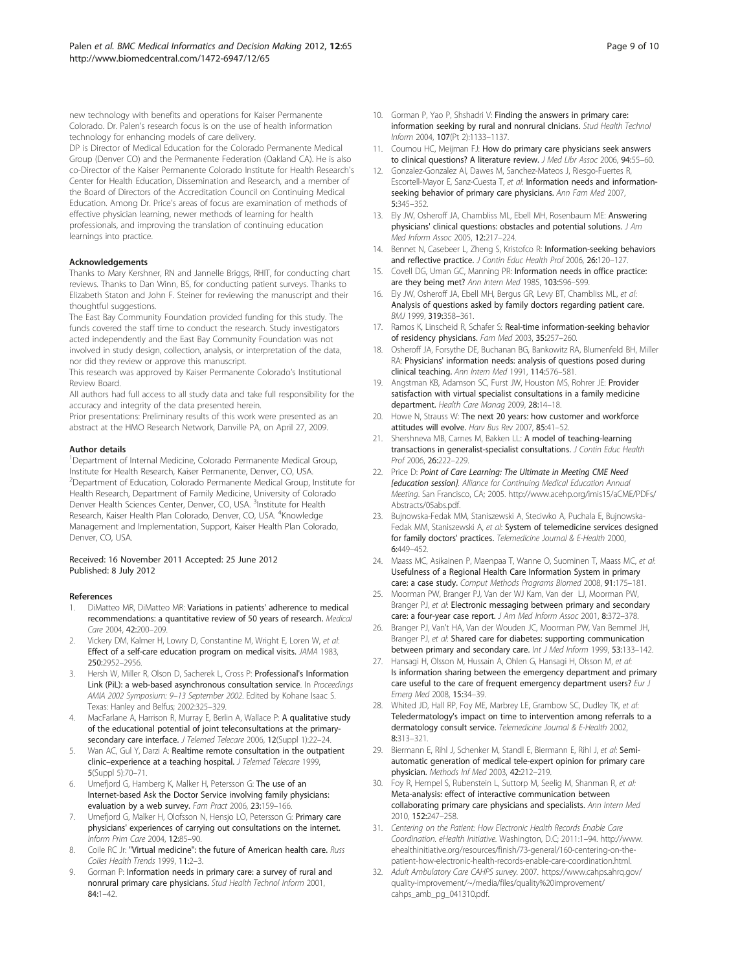<span id="page-8-0"></span>new technology with benefits and operations for Kaiser Permanente Colorado. Dr. Palen's research focus is on the use of health information technology for enhancing models of care delivery.

DP is Director of Medical Education for the Colorado Permanente Medical Group (Denver CO) and the Permanente Federation (Oakland CA). He is also co-Director of the Kaiser Permanente Colorado Institute for Health Research's Center for Health Education, Dissemination and Research, and a member of the Board of Directors of the Accreditation Council on Continuing Medical Education. Among Dr. Price's areas of focus are examination of methods of effective physician learning, newer methods of learning for health professionals, and improving the translation of continuing education learnings into practice.

#### Acknowledgements

Thanks to Mary Kershner, RN and Jannelle Briggs, RHIT, for conducting chart reviews. Thanks to Dan Winn, BS, for conducting patient surveys. Thanks to Elizabeth Staton and John F. Steiner for reviewing the manuscript and their thoughtful suggestions.

The East Bay Community Foundation provided funding for this study. The funds covered the staff time to conduct the research. Study investigators acted independently and the East Bay Community Foundation was not involved in study design, collection, analysis, or interpretation of the data, nor did they review or approve this manuscript.

This research was approved by Kaiser Permanente Colorado's Institutional Review Board.

All authors had full access to all study data and take full responsibility for the accuracy and integrity of the data presented herein.

Prior presentations: Preliminary results of this work were presented as an abstract at the HMO Research Network, Danville PA, on April 27, 2009.

#### Author details

<sup>1</sup>Department of Internal Medicine, Colorado Permanente Medical Group, Institute for Health Research, Kaiser Permanente, Denver, CO, USA. <sup>2</sup>Department of Education, Colorado Permanente Medical Group, Institute for Health Research, Department of Family Medicine, University of Colorado Denver Health Sciences Center, Denver, CO, USA. <sup>3</sup>Institute for Health Research, Kaiser Health Plan Colorado, Denver, CO, USA. <sup>4</sup>Knowledge Management and Implementation, Support, Kaiser Health Plan Colorado, Denver, CO, USA.

#### Received: 16 November 2011 Accepted: 25 June 2012 Published: 8 July 2012

#### References

- DiMatteo MR, DiMatteo MR: Variations in patients' adherence to medical recommendations: a quantitative review of 50 years of research. Medical Care 2004, 42:200–209.
- Vickery DM, Kalmer H, Lowry D, Constantine M, Wright E, Loren W, et al: Effect of a self-care education program on medical visits. JAMA 1983, 250:2952–2956.
- 3. Hersh W, Miller R, Olson D, Sacherek L, Cross P: Professional's Information Link (PiL): a web-based asynchronous consultation service. In Proceedings AMIA 2002 Symposium: 9–13 September 2002. Edited by Kohane Isaac S. Texas: Hanley and Belfus; 2002:325–329.
- 4. MacFarlane A, Harrison R, Murray E, Berlin A, Wallace P: A qualitative study of the educational potential of joint teleconsultations at the primarysecondary care interface. J Telemed Telecare 2006, 12(Suppl 1):22-24.
- Wan AC, Gul Y, Darzi A: Realtime remote consultation in the outpatient clinic–experience at a teaching hospital. J Telemed Telecare 1999, 5(Suppl 5):70–71.
- Umefjord G, Hamberg K, Malker H, Petersson G: The use of an Internet-based Ask the Doctor Service involving family physicians: evaluation by a web survey. Fam Pract 2006, 23:159–166.
- 7. Umefjord G, Malker H, Olofsson N, Hensjo LO, Petersson G: Primary care physicians' experiences of carrying out consultations on the internet. Inform Prim Care 2004, 12:85–90.
- Coile RC Jr: "Virtual medicine": the future of American health care. Russ Coiles Health Trends 1999, 11:2–3.
- Gorman P: Information needs in primary care: a survey of rural and nonrural primary care physicians. Stud Health Technol Inform 2001, 84:1–42.
- 10. Gorman P, Yao P, Shshadri V: Finding the answers in primary care: information seeking by rural and nonrural clnicians. Stud Health Technol Inform 2004, 107(Pt 2):1133–1137.
- 11. Coumou HC, Meijman FJ: How do primary care physicians seek answers to clinical questions? A literature review. J Med Libr Assoc 2006, 94:55–60.
- 12. Gonzalez-Gonzalez AI, Dawes M, Sanchez-Mateos J, Riesgo-Fuertes R, Escortell-Mayor E, Sanz-Cuesta T, et al: Information needs and informationseeking behavior of primary care physicians. Ann Fam Med 2007, 5:345–352.
- 13. Ely JW, Osheroff JA, Chambliss ML, Ebell MH, Rosenbaum ME: Answering physicians' clinical questions: obstacles and potential solutions. J Am Med Inform Assoc 2005, 12:217–224.
- 14. Bennet N, Casebeer L, Zheng S, Kristofco R: Information-seeking behaviors and reflective practice. J Contin Educ Health Prof 2006, 26:120–127.
- 15. Covell DG, Uman GC, Manning PR: Information needs in office practice: are they being met? Ann Intern Med 1985, 103:596–599.
- 16. Ely JW, Osheroff JA, Ebell MH, Bergus GR, Levy BT, Chambliss ML, et al: Analysis of questions asked by family doctors regarding patient care. BMJ 1999, 319:358–361.
- 17. Ramos K, Linscheid R, Schafer S: Real-time information-seeking behavior of residency physicians. Fam Med 2003, 35:257–260.
- 18. Osheroff JA, Forsythe DE, Buchanan BG, Bankowitz RA, Blumenfeld BH, Miller RA: Physicians' information needs: analysis of questions posed during clinical teaching. Ann Intern Med 1991, 114:576–581.
- 19. Angstman KB, Adamson SC, Furst JW, Houston MS, Rohrer JE: Provider satisfaction with virtual specialist consultations in a family medicine department. Health Care Manag 2009, 28:14–18.
- 20. Howe N, Strauss W: The next 20 years: how customer and workforce attitudes will evolve. Harv Bus Rev 2007, 85:41–52.
- 21. Shershneva MB, Carnes M, Bakken LL: A model of teaching-learning transactions in generalist-specialist consultations. J Contin Educ Health Prof 2006, 26:222–229.
- 22. Price D: Point of Care Learning: The Ultimate in Meeting CME Need [education session]. Alliance for Continuing Medical Education Annual Meeting. San Francisco, CA; 2005. [http://www.acehp.org/imis15/aCME/PDFs/](http://www.acehp.org/imis15/aCME/PDFs/Abstracts/05abs.pdf) [Abstracts/05abs.pdf](http://www.acehp.org/imis15/aCME/PDFs/Abstracts/05abs.pdf).
- 23. Bujnowska-Fedak MM, Staniszewski A, Steciwko A, Puchala E, Bujnowska-Fedak MM, Staniszewski A, et al: System of telemedicine services designed for family doctors' practices. Telemedicine Journal & E-Health 2000, 6:449–452.
- 24. Maass MC, Asikainen P, Maenpaa T, Wanne O, Suominen T, Maass MC, et al: Usefulness of a Regional Health Care Information System in primary care: a case study. Comput Methods Programs Biomed 2008, 91:175–181.
- 25. Moorman PW, Branger PJ, Van der WJ Kam, Van der LJ, Moorman PW, Branger PJ, et al: Electronic messaging between primary and secondary care: a four-year case report. J Am Med Inform Assoc 2001, 8:372-378.
- 26. Branger PJ, Van't HA, Van der Wouden JC, Moorman PW, Van Bemmel JH, Branger PJ, et al: Shared care for diabetes: supporting communication between primary and secondary care. Int J Med Inform 1999, 53:133–142.
- 27. Hansagi H, Olsson M, Hussain A, Ohlen G, Hansagi H, Olsson M, et al: Is information sharing between the emergency department and primary care useful to the care of frequent emergency department users? Eur J Emerg Med 2008, 15:34–39.
- 28. Whited JD, Hall RP, Foy ME, Marbrey LE, Grambow SC, Dudley TK, et al: Teledermatology's impact on time to intervention among referrals to a dermatology consult service. Telemedicine Journal & E-Health 2002, 8:313–321.
- 29. Biermann E, Rihl J, Schenker M, Standl E, Biermann E, Rihl J, et al: Semiautomatic generation of medical tele-expert opinion for primary care physician. Methods Inf Med 2003, 42:212–219.
- Foy R, Hempel S, Rubenstein L, Suttorp M, Seelig M, Shanman R, et al: Meta-analysis: effect of interactive communication between collaborating primary care physicians and specialists. Ann Intern Med 2010, 152:247–258.
- 31. Centering on the Patient: How Electronic Health Records Enable Care Coordination. eHealth Initiative. Washington, D.C; 2011:1–94. [http://www.](http://www.ehealthinitiative.org/resources/finish/73-general/160-centering-on-the-patient-how-electronic-health-records-enable-care-coordination.html) [ehealthinitiative.org/resources/finish/73-general/160-centering-on-the](http://www.ehealthinitiative.org/resources/finish/73-general/160-centering-on-the-patient-how-electronic-health-records-enable-care-coordination.html)[patient-how-electronic-health-records-enable-care-coordination.html](http://www.ehealthinitiative.org/resources/finish/73-general/160-centering-on-the-patient-how-electronic-health-records-enable-care-coordination.html).
- 32. Adult Ambulatory Care CAHPS survey. 2007. [https://www.cahps.ahrq.gov/](https://www.cahps.ahrq.gov/quality-improvement/~/media/files/quality%20improvement/cahps_amb_pg_041310.pdf) [quality-improvement/~/media/files/quality%20improvement/](https://www.cahps.ahrq.gov/quality-improvement/~/media/files/quality%20improvement/cahps_amb_pg_041310.pdf) [cahps\\_amb\\_pg\\_041310.pdf.](https://www.cahps.ahrq.gov/quality-improvement/~/media/files/quality%20improvement/cahps_amb_pg_041310.pdf)